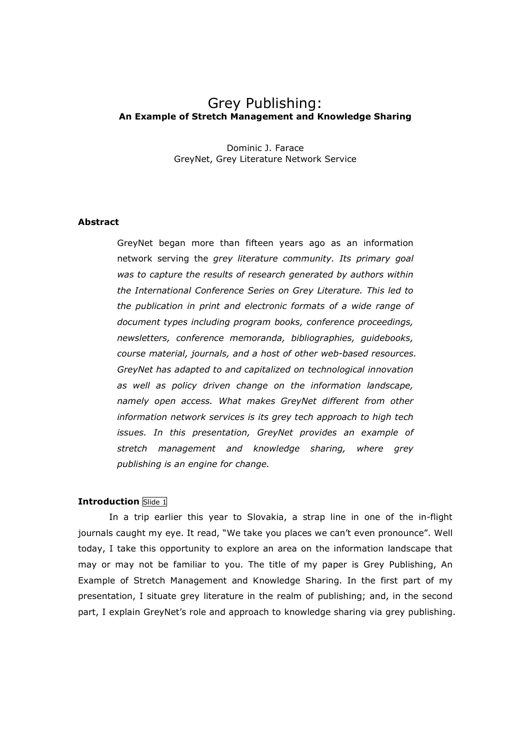# Grey Publishing: An Example of Stretch Management and Knowledge Sharing

Dominic J. Farace GreyNet, Grey Literature Network Service

#### Abstract

GreyNet began more than fifteen years ago as an information network serving the *grey literature community. Its primary goal* was to capture the results of research generated by authors within the International Conference Series on Grey Literature. This led to the publication in print and electronic formats of a wide range of document types including program books, conference proceedings, newsletters, conference memoranda, bibliographies, guidebooks, course material, journals, and a host of other web-based resources. GreyNet has adapted to and capitalized on technological innovation as well as policy driven change on the information landscape, namely open access. What makes GreyNet different from other information network services is its grey tech approach to high tech issues. In this presentation, GreyNet provides an example of stretch management and knowledge sharing, where grey publishing is an engine for change.

### **Introduction Slide 1**

In a trip earlier this year to Slovakia, a strap line in one of the in-flight journals caught my eye. It read, "We take you places we can't even pronounce". Well today, I take this opportunity to explore an area on the information landscape that may or may not be familiar to you. The title of my paper is Grey Publishing, An Example of Stretch Management and Knowledge Sharing. In the first part of my presentation, I situate grey literature in the realm of publishing; and, in the second part, I explain GreyNet's role and approach to knowledge sharing via grey publishing.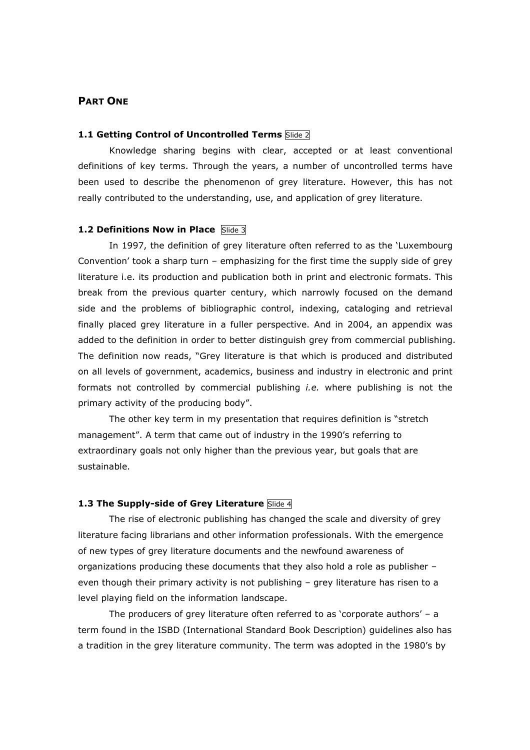### PART ONE

#### 1.1 Getting Control of Uncontrolled Terms Slide 2

Knowledge sharing begins with clear, accepted or at least conventional definitions of key terms. Through the years, a number of uncontrolled terms have been used to describe the phenomenon of grey literature. However, this has not really contributed to the understanding, use, and application of grey literature.

#### 1.2 Definitions Now in Place Slide 3

In 1997, the definition of grey literature often referred to as the 'Luxembourg Convention' took a sharp turn – emphasizing for the first time the supply side of grey literature i.e. its production and publication both in print and electronic formats. This break from the previous quarter century, which narrowly focused on the demand side and the problems of bibliographic control, indexing, cataloging and retrieval finally placed grey literature in a fuller perspective. And in 2004, an appendix was added to the definition in order to better distinguish grey from commercial publishing. The definition now reads, "Grey literature is that which is produced and distributed on all levels of government, academics, business and industry in electronic and print formats not controlled by commercial publishing *i.e.* where publishing is not the primary activity of the producing body".

The other key term in my presentation that requires definition is "stretch management". A term that came out of industry in the 1990's referring to extraordinary goals not only higher than the previous year, but goals that are sustainable.

### 1.3 The Supply-side of Grey Literature Slide 4

The rise of electronic publishing has changed the scale and diversity of grey literature facing librarians and other information professionals. With the emergence of new types of grey literature documents and the newfound awareness of organizations producing these documents that they also hold a role as publisher – even though their primary activity is not publishing – grey literature has risen to a level playing field on the information landscape.

The producers of grey literature often referred to as 'corporate authors' – a term found in the ISBD (International Standard Book Description) guidelines also has a tradition in the grey literature community. The term was adopted in the 1980's by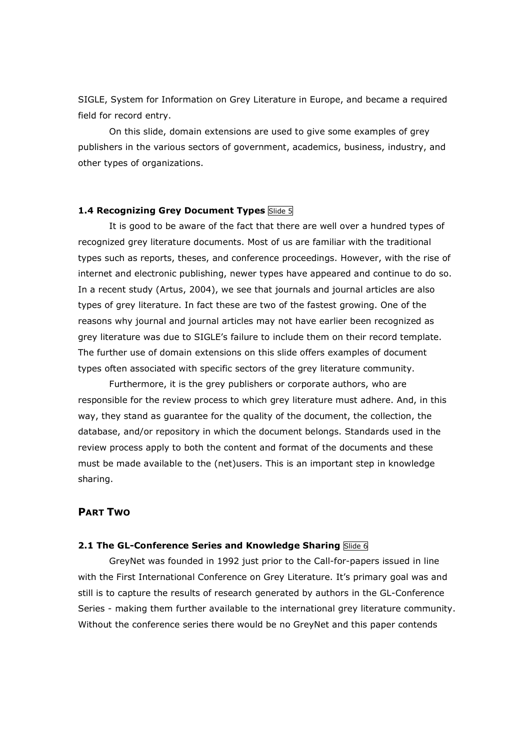SIGLE, System for Information on Grey Literature in Europe, and became a required field for record entry.

On this slide, domain extensions are used to give some examples of grey publishers in the various sectors of government, academics, business, industry, and other types of organizations.

### 1.4 Recognizing Grey Document Types Slide 5

It is good to be aware of the fact that there are well over a hundred types of recognized grey literature documents. Most of us are familiar with the traditional types such as reports, theses, and conference proceedings. However, with the rise of internet and electronic publishing, newer types have appeared and continue to do so. In a recent study (Artus, 2004), we see that journals and journal articles are also types of grey literature. In fact these are two of the fastest growing. One of the reasons why journal and journal articles may not have earlier been recognized as grey literature was due to SIGLE's failure to include them on their record template. The further use of domain extensions on this slide offers examples of document types often associated with specific sectors of the grey literature community.

Furthermore, it is the grey publishers or corporate authors, who are responsible for the review process to which grey literature must adhere. And, in this way, they stand as guarantee for the quality of the document, the collection, the database, and/or repository in which the document belongs. Standards used in the review process apply to both the content and format of the documents and these must be made available to the (net)users. This is an important step in knowledge sharing.

# PART TWO

#### 2.1 The GL-Conference Series and Knowledge Sharing Slide 6

GreyNet was founded in 1992 just prior to the Call-for-papers issued in line with the First International Conference on Grey Literature. It's primary goal was and still is to capture the results of research generated by authors in the GL-Conference Series - making them further available to the international grey literature community. Without the conference series there would be no GreyNet and this paper contends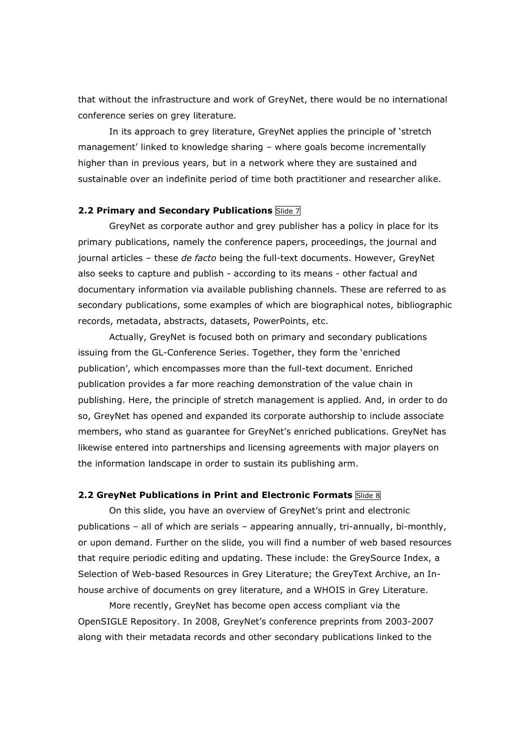that without the infrastructure and work of GreyNet, there would be no international conference series on grey literature.

In its approach to grey literature, GreyNet applies the principle of 'stretch management' linked to knowledge sharing – where goals become incrementally higher than in previous years, but in a network where they are sustained and sustainable over an indefinite period of time both practitioner and researcher alike.

### 2.2 Primary and Secondary Publications Slide 7

GreyNet as corporate author and grey publisher has a policy in place for its primary publications, namely the conference papers, proceedings, the journal and journal articles - these de facto being the full-text documents. However, GreyNet also seeks to capture and publish - according to its means - other factual and documentary information via available publishing channels. These are referred to as secondary publications, some examples of which are biographical notes, bibliographic records, metadata, abstracts, datasets, PowerPoints, etc.

Actually, GreyNet is focused both on primary and secondary publications issuing from the GL-Conference Series. Together, they form the 'enriched publication', which encompasses more than the full-text document. Enriched publication provides a far more reaching demonstration of the value chain in publishing. Here, the principle of stretch management is applied. And, in order to do so, GreyNet has opened and expanded its corporate authorship to include associate members, who stand as guarantee for GreyNet's enriched publications. GreyNet has likewise entered into partnerships and licensing agreements with major players on the information landscape in order to sustain its publishing arm.

#### 2.2 GreyNet Publications in Print and Electronic Formats Slide 8

On this slide, you have an overview of GreyNet's print and electronic publications – all of which are serials – appearing annually, tri-annually, bi-monthly, or upon demand. Further on the slide, you will find a number of web based resources that require periodic editing and updating. These include: the GreySource Index, a Selection of Web-based Resources in Grey Literature; the GreyText Archive, an Inhouse archive of documents on grey literature, and a WHOIS in Grey Literature.

More recently, GreyNet has become open access compliant via the OpenSIGLE Repository. In 2008, GreyNet's conference preprints from 2003-2007 along with their metadata records and other secondary publications linked to the